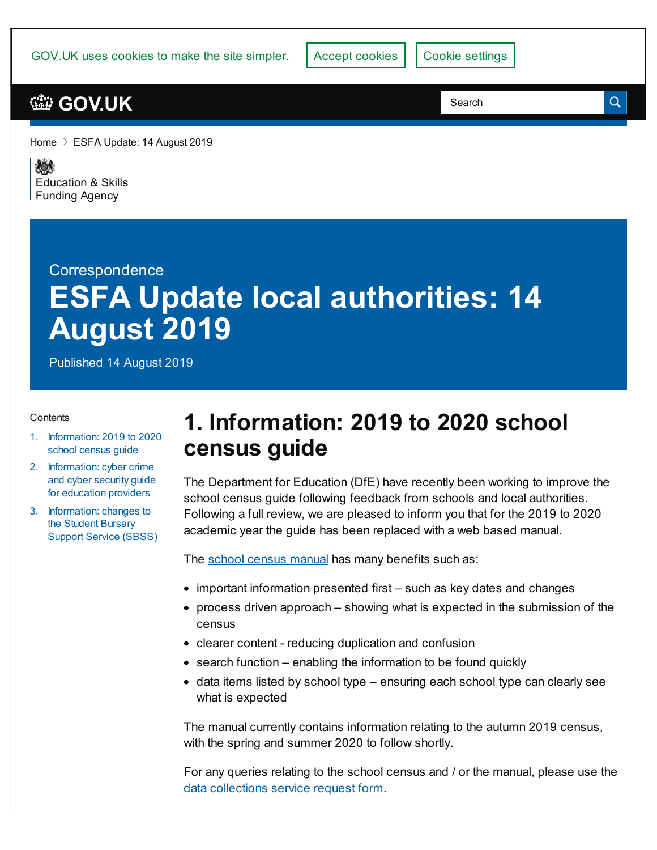GOV.UK uses cookies to make the site simpler. Accept cookies | Cookie [settings](https://www.gov.uk/help/cookies)

#### **[GOV.UK](https://www.gov.uk)**

[Home](https://www.gov.uk/)  $\geq$  ESFA [Update:](https://www.gov.uk/government/publications/esfa-update-14-august-2019) 14 August 2019

残り [Education](https://www.gov.uk/government/organisations/education-and-skills-funding-agency) & Skills **Funding Agency** 

# **Correspondence ESFA Update local authorities: 14 August 2019**

Published 14 August 2019

#### **Contents**

- 1. [Information:](#page-0-0) 2019 to 2020 school census guide
- 2. [Information:](#page-1-0) cyber crime and cyber security guide for education providers
- 3. [Information:](#page-1-1) changes to the Student Bursary Support Service (SBSS)

## <span id="page-0-0"></span>**1. Information: 2019 to 2020 school census guide**

The Department for Education (DfE) have recently been working to improve the school census guide following feedback from schools and local authorities. Following a full review, we are pleased to inform you that for the 2019 to 2020 academic year the guide has been replaced with a web based manual.

The school [census](https://www.gov.uk/guidance/complete-the-school-census) manual has many benefits such as:

- important information presented first such as key dates and changes
- process driven approach showing what is expected in the submission of the census
- clearer content reducing duplication and confusion
- search function enabling the information to be found quickly
- $\bullet$  data items listed by school type ensuring each school type can clearly see what is expected

The manual currently contains information relating to the autumn 2019 census, with the spring and summer 2020 to follow shortly.

For any queries relating to the school census and / or the manual, please use the data [collections](https://form.education.gov.uk/en/AchieveForms/?form_uri=sandbox-publish://AF-Process-2b61dfcd-9296-4f6a-8a26-4671265cae67/AF-Stage-f3f5200e-e605-4a1b-ae6b-3536bc77305c/definition.json&redirectlink=%2Fen&cancelRedirectLink=%2Fen) service request form.

 $\alpha$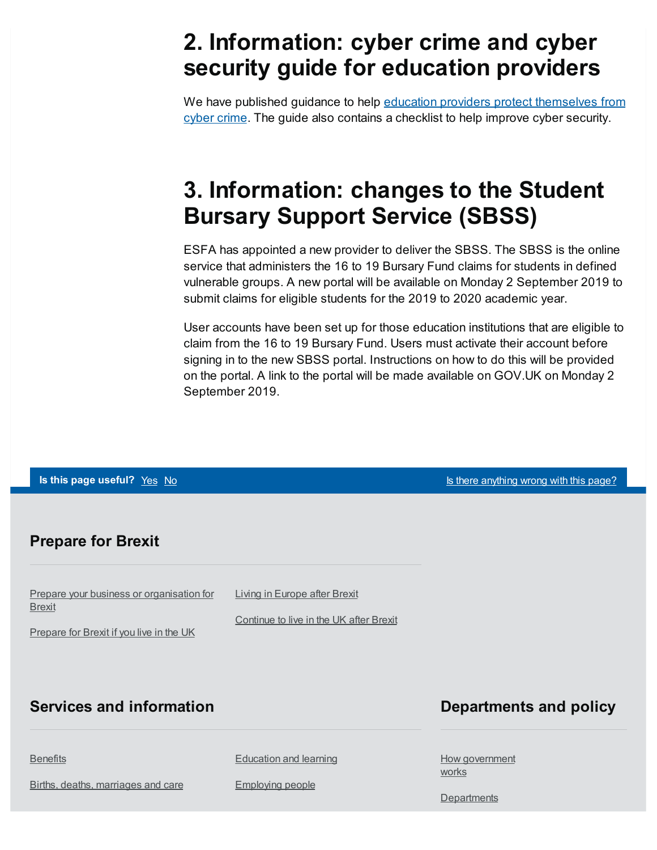## <span id="page-1-0"></span>**2. Information: cyber crime and cyber security guide for education providers**

We have published guidance to help education providers protect [themselves](https://www.gov.uk/government/publications/indicators-of-potential-fraud-learning-institutions) from cyber crime. The guide also contains a checklist to help improve cyber security.

# <span id="page-1-1"></span>**3. Information: changes to the Student Bursary Support Service (SBSS)**

ESFA has appointed a new provider to deliver the SBSS. The SBSS is the online service that administers the 16 to 19 Bursary Fund claims for students in defined vulnerable groups. A new portal will be available on Monday 2 September 2019 to submit claims for eligible students for the 2019 to 2020 academic year.

User accounts have been set up for those education institutions that are eligible to claim from the 16 to 19 Bursary Fund. Users must activate their account before signing in to the new SBSS portal. Instructions on how to do this will be provided on the portal. A link to the portal will be made available on GOV.UK on Monday 2 September 2019.

#### **Is this page useful?** [Yes](https://www.gov.uk/contact/govuk) [No](https://www.gov.uk/contact/govuk) Is the Magnetic Control of the *Islamica Control is* the *Islamic useful?* Yes No Is the *Islamic Control is the Control is the Control of this page?* Prepare your business or [organisation](https://www.gov.uk/business-uk-leaving-eu) for **Brexit** [Prepare](https://www.gov.uk/prepare-eu-exit) for Brexit if you live in the UK Living in [Europe](https://www.gov.uk/uk-nationals-living-eu) after Brexit [Continue](https://www.gov.uk/staying-uk-eu-citizen) to live in the UK after Brexit **Prepare for Brexit [Benefits](https://www.gov.uk/browse/benefits)** Births, deaths, [marriages](https://www.gov.uk/browse/births-deaths-marriages) and care [Education](https://www.gov.uk/browse/education) and learning [Employing](https://www.gov.uk/browse/employing-people) people **Services and information** How [government](https://www.gov.uk/government/how-government-works) **works [Departments](https://www.gov.uk/government/organisations) Departments and policy**